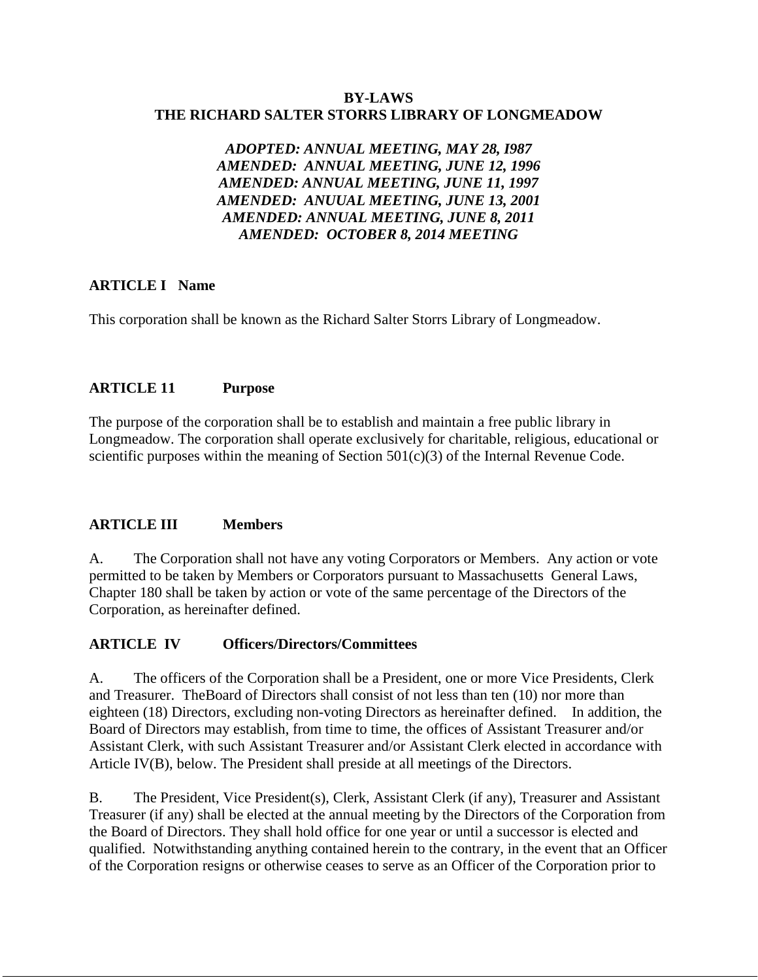#### **BY-LAWS THE RICHARD SALTER STORRS LIBRARY OF LONGMEADOW**

*ADOPTED: ANNUAL MEETING, MAY 28, I987 AMENDED: ANNUAL MEETING, JUNE 12, 1996 AMENDED: ANNUAL MEETING, JUNE 11, 1997 AMENDED: ANUUAL MEETING, JUNE 13, 2001 AMENDED: ANNUAL MEETING, JUNE 8, 2011 AMENDED: OCTOBER 8, 2014 MEETING*

## **ARTICLE I Name**

This corporation shall be known as the Richard Salter Storrs Library of Longmeadow.

# **ARTICLE 11 Purpose**

The purpose of the corporation shall be to establish and maintain a free public library in Longmeadow. The corporation shall operate exclusively for charitable, religious, educational or scientific purposes within the meaning of Section  $501(c)(3)$  of the Internal Revenue Code.

# **ARTICLE III Members**

A. The Corporation shall not have any voting Corporators or Members. Any action or vote permitted to be taken by Members or Corporators pursuant to Massachusetts General Laws, Chapter 180 shall be taken by action or vote of the same percentage of the Directors of the Corporation, as hereinafter defined.

# **ARTICLE IV Officers/Directors/Committees**

A. The officers of the Corporation shall be a President, one or more Vice Presidents, Clerk and Treasurer. TheBoard of Directors shall consist of not less than ten (10) nor more than eighteen (18) Directors, excluding non-voting Directors as hereinafter defined. In addition, the Board of Directors may establish, from time to time, the offices of Assistant Treasurer and/or Assistant Clerk, with such Assistant Treasurer and/or Assistant Clerk elected in accordance with Article IV(B), below. The President shall preside at all meetings of the Directors.

B. The President, Vice President(s), Clerk, Assistant Clerk (if any), Treasurer and Assistant Treasurer (if any) shall be elected at the annual meeting by the Directors of the Corporation from the Board of Directors. They shall hold office for one year or until a successor is elected and qualified. Notwithstanding anything contained herein to the contrary, in the event that an Officer of the Corporation resigns or otherwise ceases to serve as an Officer of the Corporation prior to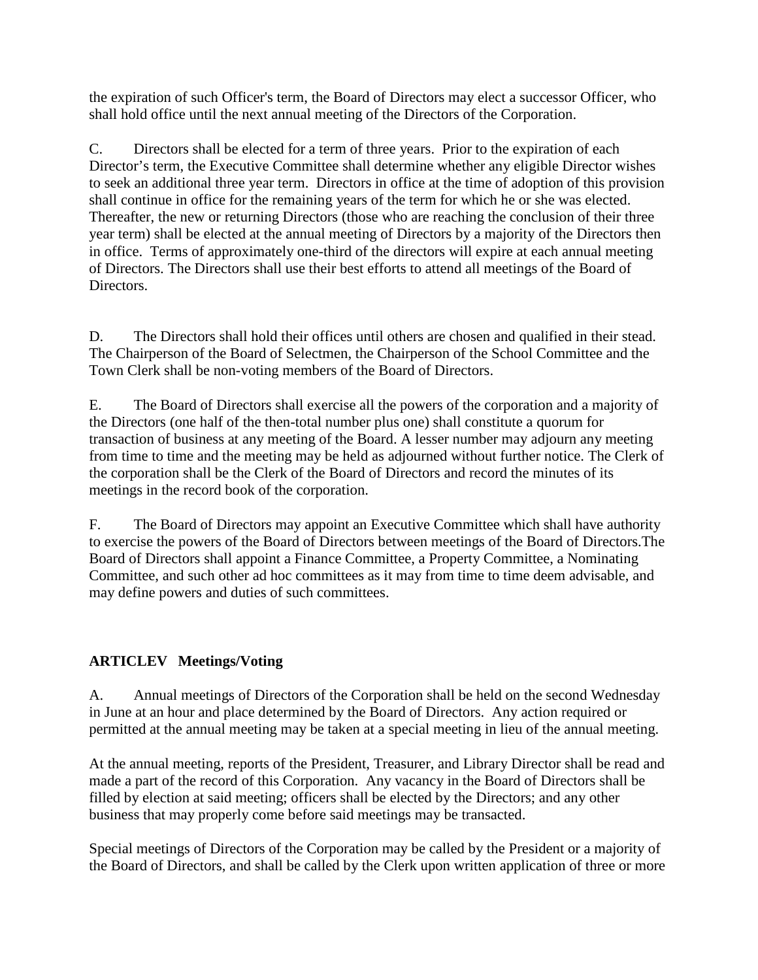the expiration of such Officer's term, the Board of Directors may elect a successor Officer, who shall hold office until the next annual meeting of the Directors of the Corporation.

C. Directors shall be elected for a term of three years. Prior to the expiration of each Director's term, the Executive Committee shall determine whether any eligible Director wishes to seek an additional three year term. Directors in office at the time of adoption of this provision shall continue in office for the remaining years of the term for which he or she was elected. Thereafter, the new or returning Directors (those who are reaching the conclusion of their three year term) shall be elected at the annual meeting of Directors by a majority of the Directors then in office. Terms of approximately one-third of the directors will expire at each annual meeting of Directors. The Directors shall use their best efforts to attend all meetings of the Board of Directors.

D. The Directors shall hold their offices until others are chosen and qualified in their stead. The Chairperson of the Board of Selectmen, the Chairperson of the School Committee and the Town Clerk shall be non-voting members of the Board of Directors.

E. The Board of Directors shall exercise all the powers of the corporation and a majority of the Directors (one half of the then-total number plus one) shall constitute a quorum for transaction of business at any meeting of the Board. A lesser number may adjourn any meeting from time to time and the meeting may be held as adjourned without further notice. The Clerk of the corporation shall be the Clerk of the Board of Directors and record the minutes of its meetings in the record book of the corporation.

F. The Board of Directors may appoint an Executive Committee which shall have authority to exercise the powers of the Board of Directors between meetings of the Board of Directors.The Board of Directors shall appoint a Finance Committee, a Property Committee, a Nominating Committee, and such other ad hoc committees as it may from time to time deem advisable, and may define powers and duties of such committees.

# **ARTICLEV Meetings/Voting**

A. Annual meetings of Directors of the Corporation shall be held on the second Wednesday in June at an hour and place determined by the Board of Directors. Any action required or permitted at the annual meeting may be taken at a special meeting in lieu of the annual meeting.

At the annual meeting, reports of the President, Treasurer, and Library Director shall be read and made a part of the record of this Corporation. Any vacancy in the Board of Directors shall be filled by election at said meeting; officers shall be elected by the Directors; and any other business that may properly come before said meetings may be transacted.

Special meetings of Directors of the Corporation may be called by the President or a majority of the Board of Directors, and shall be called by the Clerk upon written application of three or more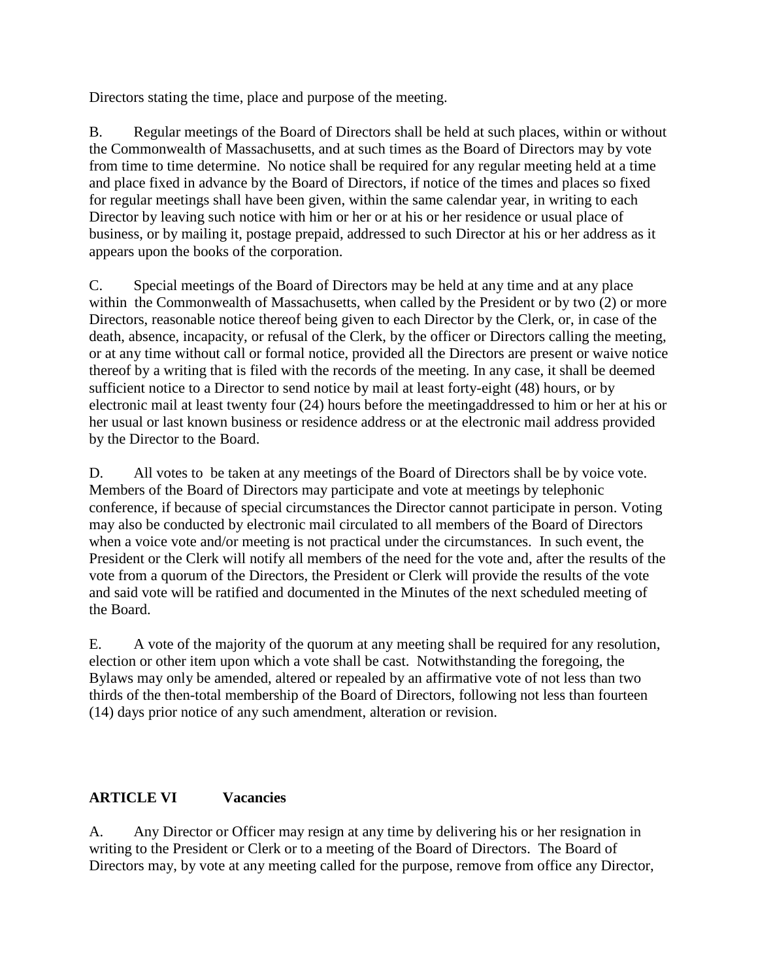Directors stating the time, place and purpose of the meeting.

B. Regular meetings of the Board of Directors shall be held at such places, within or without the Commonwealth of Massachusetts, and at such times as the Board of Directors may by vote from time to time determine. No notice shall be required for any regular meeting held at a time and place fixed in advance by the Board of Directors, if notice of the times and places so fixed for regular meetings shall have been given, within the same calendar year, in writing to each Director by leaving such notice with him or her or at his or her residence or usual place of business, or by mailing it, postage prepaid, addressed to such Director at his or her address as it appears upon the books of the corporation.

C. Special meetings of the Board of Directors may be held at any time and at any place within the Commonwealth of Massachusetts, when called by the President or by two (2) or more Directors, reasonable notice thereof being given to each Director by the Clerk, or, in case of the death, absence, incapacity, or refusal of the Clerk, by the officer or Directors calling the meeting, or at any time without call or formal notice, provided all the Directors are present or waive notice thereof by a writing that is filed with the records of the meeting. In any case, it shall be deemed sufficient notice to a Director to send notice by mail at least forty-eight (48) hours, or by electronic mail at least twenty four (24) hours before the meetingaddressed to him or her at his or her usual or last known business or residence address or at the electronic mail address provided by the Director to the Board.

D. All votes to be taken at any meetings of the Board of Directors shall be by voice vote. Members of the Board of Directors may participate and vote at meetings by telephonic conference, if because of special circumstances the Director cannot participate in person. Voting may also be conducted by electronic mail circulated to all members of the Board of Directors when a voice vote and/or meeting is not practical under the circumstances. In such event, the President or the Clerk will notify all members of the need for the vote and, after the results of the vote from a quorum of the Directors, the President or Clerk will provide the results of the vote and said vote will be ratified and documented in the Minutes of the next scheduled meeting of the Board.

E. A vote of the majority of the quorum at any meeting shall be required for any resolution, election or other item upon which a vote shall be cast. Notwithstanding the foregoing, the Bylaws may only be amended, altered or repealed by an affirmative vote of not less than two thirds of the then-total membership of the Board of Directors, following not less than fourteen (14) days prior notice of any such amendment, alteration or revision.

# **ARTICLE VI Vacancies**

A. Any Director or Officer may resign at any time by delivering his or her resignation in writing to the President or Clerk or to a meeting of the Board of Directors. The Board of Directors may, by vote at any meeting called for the purpose, remove from office any Director,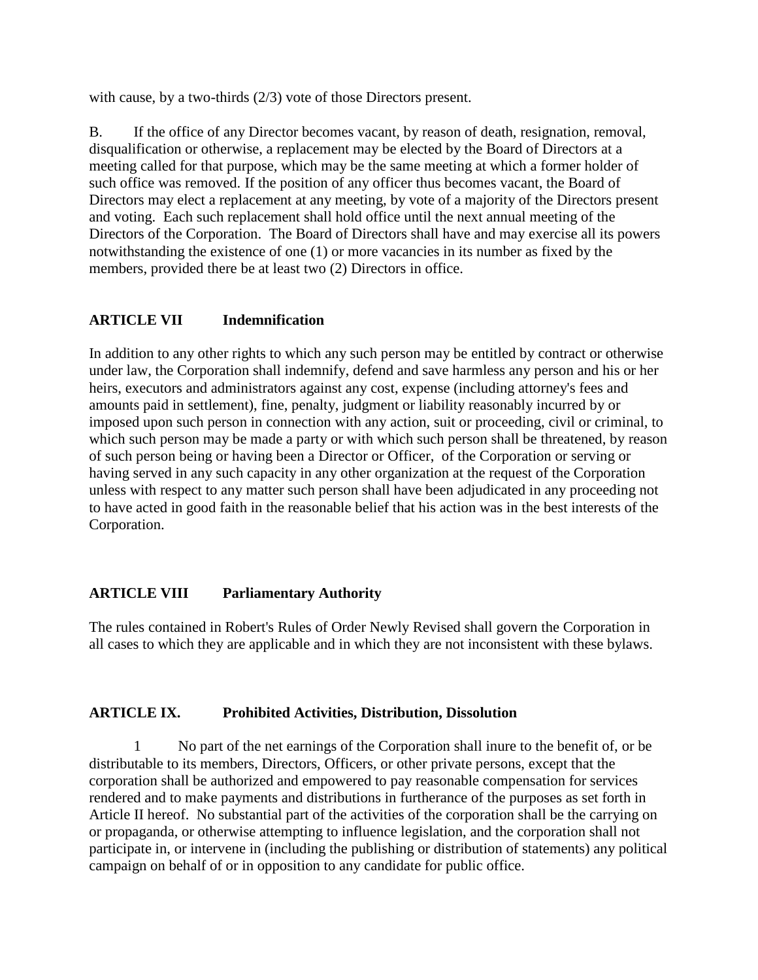with cause, by a two-thirds (2/3) vote of those Directors present.

B. If the office of any Director becomes vacant, by reason of death, resignation, removal, disqualification or otherwise, a replacement may be elected by the Board of Directors at a meeting called for that purpose, which may be the same meeting at which a former holder of such office was removed. If the position of any officer thus becomes vacant, the Board of Directors may elect a replacement at any meeting, by vote of a majority of the Directors present and voting. Each such replacement shall hold office until the next annual meeting of the Directors of the Corporation. The Board of Directors shall have and may exercise all its powers notwithstanding the existence of one (1) or more vacancies in its number as fixed by the members, provided there be at least two (2) Directors in office.

## **ARTICLE VII Indemnification**

In addition to any other rights to which any such person may be entitled by contract or otherwise under law, the Corporation shall indemnify, defend and save harmless any person and his or her heirs, executors and administrators against any cost, expense (including attorney's fees and amounts paid in settlement), fine, penalty, judgment or liability reasonably incurred by or imposed upon such person in connection with any action, suit or proceeding, civil or criminal, to which such person may be made a party or with which such person shall be threatened, by reason of such person being or having been a Director or Officer, of the Corporation or serving or having served in any such capacity in any other organization at the request of the Corporation unless with respect to any matter such person shall have been adjudicated in any proceeding not to have acted in good faith in the reasonable belief that his action was in the best interests of the Corporation.

## **ARTICLE VIII Parliamentary Authority**

The rules contained in Robert's Rules of Order Newly Revised shall govern the Corporation in all cases to which they are applicable and in which they are not inconsistent with these bylaws.

## **ARTICLE IX. Prohibited Activities, Distribution, Dissolution**

1 No part of the net earnings of the Corporation shall inure to the benefit of, or be distributable to its members, Directors, Officers, or other private persons, except that the corporation shall be authorized and empowered to pay reasonable compensation for services rendered and to make payments and distributions in furtherance of the purposes as set forth in Article II hereof. No substantial part of the activities of the corporation shall be the carrying on or propaganda, or otherwise attempting to influence legislation, and the corporation shall not participate in, or intervene in (including the publishing or distribution of statements) any political campaign on behalf of or in opposition to any candidate for public office.